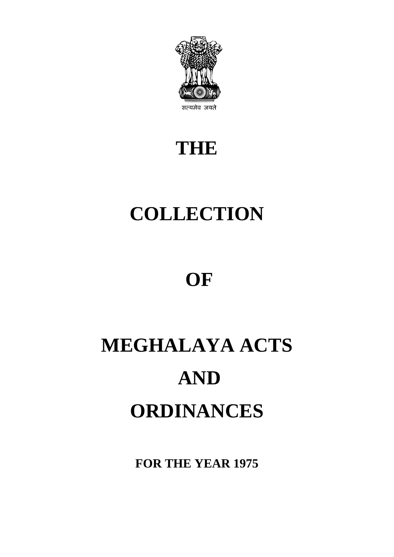

# **THE**

# **COLLECTION**

# **OF**

# **MEGHALAYA ACTS AND ORDINANCES**

**FOR THE YEAR 1975**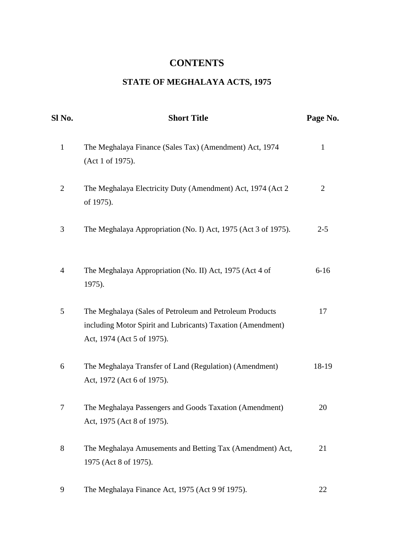# **CONTENTS**

# **STATE OF MEGHALAYA ACTS, 1975**

| Sl No.         | <b>Short Title</b>                                                                                                                                    | Page No.       |
|----------------|-------------------------------------------------------------------------------------------------------------------------------------------------------|----------------|
| $\mathbf{1}$   | The Meghalaya Finance (Sales Tax) (Amendment) Act, 1974<br>(Act 1 of 1975).                                                                           | $\mathbf{1}$   |
| $\overline{2}$ | The Meghalaya Electricity Duty (Amendment) Act, 1974 (Act 2<br>of 1975).                                                                              | $\overline{2}$ |
| 3              | The Meghalaya Appropriation (No. I) Act, 1975 (Act 3 of 1975).                                                                                        | $2 - 5$        |
| 4              | The Meghalaya Appropriation (No. II) Act, 1975 (Act 4 of<br>1975).                                                                                    | $6 - 16$       |
| 5              | The Meghalaya (Sales of Petroleum and Petroleum Products<br>including Motor Spirit and Lubricants) Taxation (Amendment)<br>Act, 1974 (Act 5 of 1975). | 17             |
| 6              | The Meghalaya Transfer of Land (Regulation) (Amendment)<br>Act, 1972 (Act 6 of 1975).                                                                 | 18-19          |
| 7              | The Meghalaya Passengers and Goods Taxation (Amendment)<br>Act, 1975 (Act 8 of 1975).                                                                 | 20             |
| 8              | The Meghalaya Amusements and Betting Tax (Amendment) Act,<br>1975 (Act 8 of 1975).                                                                    | 21             |
| 9              | The Meghalaya Finance Act, 1975 (Act 9 9f 1975).                                                                                                      | 22             |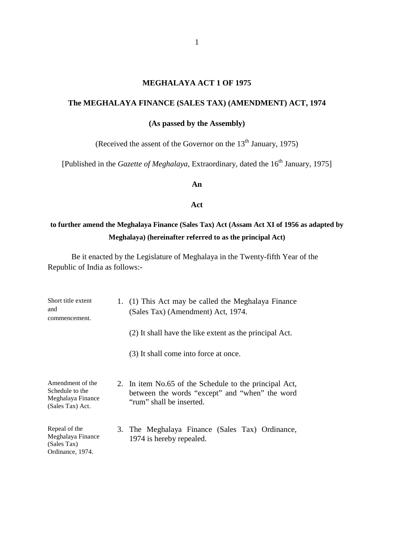#### **MEGHALAYA ACT 1 OF 1975**

#### **The MEGHALAYA FINANCE (SALES TAX) (AMENDMENT) ACT, 1974**

# **(As passed by the Assembly)**

(Received the assent of the Governor on the  $13<sup>th</sup>$  January, 1975)

[Published in the *Gazette of Meghalaya*, Extraordinary, dated the 16<sup>th</sup> January, 1975]

#### **An**

#### **Act**

# **to further amend the Meghalaya Finance (Sales Tax) Act (Assam Act XI of 1956 as adapted by Meghalaya) (hereinafter referred to as the principal Act)**

| Short title extent<br>and<br>commencement.                                   | 1. (1) This Act may be called the Meghalaya Finance<br>(Sales Tax) (Amendment) Act, 1974.                                            |
|------------------------------------------------------------------------------|--------------------------------------------------------------------------------------------------------------------------------------|
|                                                                              | (2) It shall have the like extent as the principal Act.                                                                              |
|                                                                              | (3) It shall come into force at once.                                                                                                |
| Amendment of the<br>Schedule to the<br>Meghalaya Finance<br>(Sales Tax) Act. | 2. In item No.65 of the Schedule to the principal Act,<br>between the words "except" and "when" the word<br>"rum" shall be inserted. |
| Repeal of the<br>Meghalaya Finance<br>(Sales Tax)<br>Ordinance, 1974.        | 3. The Meghalaya Finance (Sales Tax) Ordinance,<br>1974 is hereby repealed.                                                          |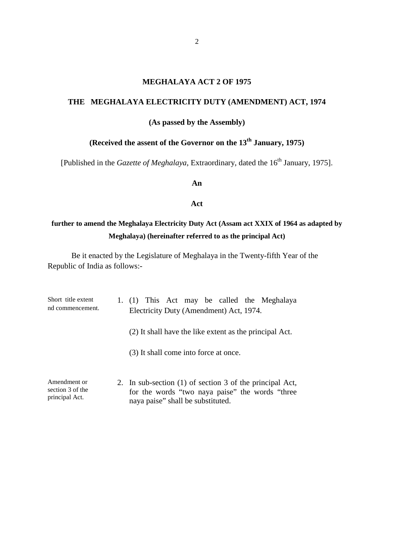#### **MEGHALAYA ACT 2 OF 1975**

# **THE MEGHALAYA ELECTRICITY DUTY (AMENDMENT) ACT, 1974**

#### **(As passed by the Assembly)**

# **(Received the assent of the Governor on the 13th January, 1975)**

[Published in the *Gazette of Meghalaya*, Extraordinary, dated the 16<sup>th</sup> January, 1975].

**An** 

#### **Act**

# **further to amend the Meghalaya Electricity Duty Act (Assam act XXIX of 1964 as adapted by Meghalaya) (hereinafter referred to as the principal Act)**

| Short title extent<br>nd commencement.             | 1. (1) This Act may be called the Meghalaya<br>Electricity Duty (Amendment) Act, 1974.                                                           |  |
|----------------------------------------------------|--------------------------------------------------------------------------------------------------------------------------------------------------|--|
|                                                    | (2) It shall have the like extent as the principal Act.                                                                                          |  |
|                                                    | (3) It shall come into force at once.                                                                                                            |  |
| Amendment or<br>section 3 of the<br>principal Act. | 2. In sub-section (1) of section 3 of the principal Act,<br>for the words "two naya paise" the words "three<br>naya paise" shall be substituted. |  |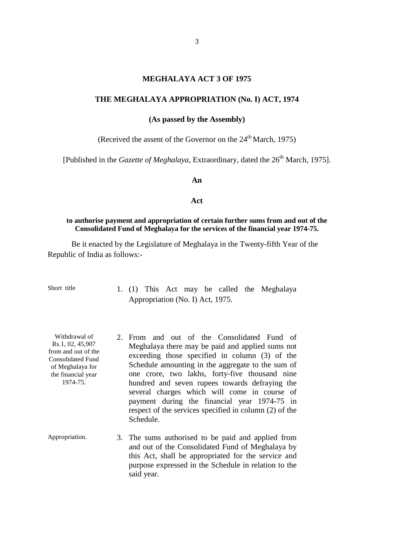#### **MEGHALAYA ACT 3 OF 1975**

#### **THE MEGHALAYA APPROPRIATION (No. I) ACT, 1974**

**(As passed by the Assembly)**

(Received the assent of the Governor on the  $24<sup>th</sup>$  March, 1975)

[Published in the *Gazette of Meghalaya*, Extraordinary, dated the 26<sup>th</sup> March, 1975].

#### **An**

#### **Act**

#### **to authorise payment and appropriation of certain further sums from and out of the Consolidated Fund of Meghalaya for the services of the financial year 1974-75.**

Be it enacted by the Legislature of Meghalaya in the Twenty-fifth Year of the Republic of India as follows:-

Short title 1. (1) This Act may be called the Meghalaya Appropriation (No. I) Act, 1975.

Withdrawal of Rs.1, 02, 45,907 from and out of the Consolidated Fund of Meghalaya for the financial year 1974-75.

- 2. From and out of the Consolidated Fund of Meghalaya there may be paid and applied sums not exceeding those specified in column (3) of the Schedule amounting in the aggregate to the sum of one crore, two lakhs, forty-five thousand nine hundred and seven rupees towards defraying the several charges which will come in course of payment during the financial year 1974-75 in respect of the services specified in column (2) of the Schedule.
- Appropriation. 3. The sums authorised to be paid and applied from and out of the Consolidated Fund of Meghalaya by this Act, shall be appropriated for the service and purpose expressed in the Schedule in relation to the said year.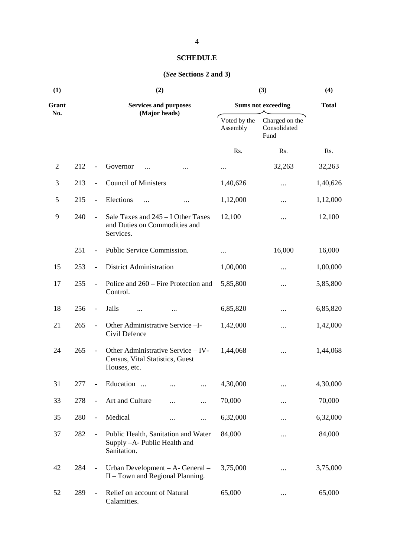# **SCHEDULE**

# **(***See* **Sections 2 and 3)**

| (1)   |     |                              | (2)                                                                                   | (3)                       | (4)<br><b>Total</b>                    |          |
|-------|-----|------------------------------|---------------------------------------------------------------------------------------|---------------------------|----------------------------------------|----------|
| Grant |     |                              | <b>Services and purposes</b>                                                          | <b>Sums not exceeding</b> |                                        |          |
| No.   |     |                              | (Major heads)                                                                         | Voted by the<br>Assembly  | Charged on the<br>Consolidated<br>Fund |          |
|       |     |                              |                                                                                       | Rs.                       | Rs.                                    | Rs.      |
| 2     | 212 |                              | Governor<br>$\ddotsc$                                                                 | $\cdots$                  | 32,263                                 | 32,263   |
| 3     | 213 | $\overline{\phantom{a}}$     | <b>Council of Ministers</b>                                                           | 1,40,626                  |                                        | 1,40,626 |
| 5     | 215 | $\overline{\phantom{a}}$     | Elections<br>                                                                         | 1,12,000                  |                                        | 1,12,000 |
| 9     | 240 | $\overline{\phantom{a}}$     | Sale Taxes and 245 – I Other Taxes<br>and Duties on Commodities and<br>Services.      | 12,100                    |                                        | 12,100   |
|       | 251 | $\overline{\phantom{a}}$     | Public Service Commission.                                                            | $\cdots$                  | 16,000                                 | 16,000   |
| 15    | 253 | $\frac{1}{2}$                | <b>District Administration</b>                                                        | 1,00,000                  |                                        | 1,00,000 |
| 17    | 255 | $\overline{\phantom{a}}$     | Police and 260 – Fire Protection and<br>Control.                                      | 5,85,800                  |                                        | 5,85,800 |
| 18    | 256 | $\overline{\phantom{0}}$     | Jails<br>                                                                             | 6,85,820                  |                                        | 6,85,820 |
| 21    | 265 | $\overline{\phantom{a}}$     | Other Administrative Service - I-<br>Civil Defence                                    | 1,42,000                  |                                        | 1,42,000 |
| 24    | 265 | $\overline{\phantom{a}}$     | Other Administrative Service - IV-<br>Census, Vital Statistics, Guest<br>Houses, etc. | 1,44,068                  |                                        | 1,44,068 |
| 31    | 277 |                              | Education                                                                             | 4,30,000                  |                                        | 4,30,000 |
| 33    | 278 | $\qquad \qquad \blacksquare$ | Art and Culture<br>                                                                   | 70,000                    |                                        | 70,000   |
| 35    | 280 | $\qquad \qquad -$            | Medical<br><br>$\cdots$                                                               | 6,32,000                  |                                        | 6,32,000 |
| 37    | 282 | $\overline{\phantom{a}}$     | Public Health, Sanitation and Water<br>Supply -A- Public Health and<br>Sanitation.    | 84,000                    |                                        | 84,000   |
| 42    | 284 | $\overline{\phantom{a}}$     | Urban Development – A- General –<br>II – Town and Regional Planning.                  | 3,75,000                  |                                        | 3,75,000 |
| 52    | 289 | $\blacksquare$               | Relief on account of Natural<br>Calamities.                                           | 65,000                    |                                        | 65,000   |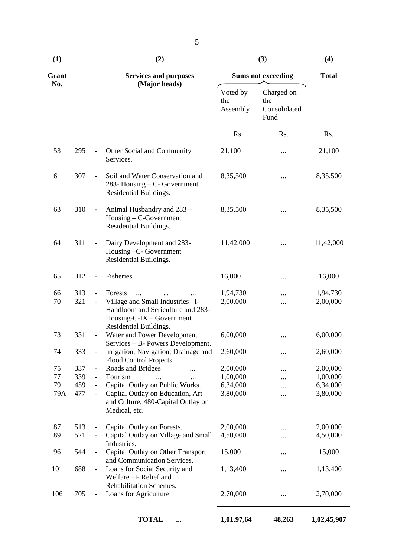| Grant    |            |                              | <b>Services and purposes</b>                                                                                                |                             | <b>Sums not exceeding</b>                 | <b>Total</b>         |
|----------|------------|------------------------------|-----------------------------------------------------------------------------------------------------------------------------|-----------------------------|-------------------------------------------|----------------------|
| No.      |            |                              | (Major heads)                                                                                                               | Voted by<br>the<br>Assembly | Charged on<br>the<br>Consolidated<br>Fund |                      |
|          |            |                              |                                                                                                                             | Rs.                         | Rs.                                       | Rs.                  |
| 53       | 295        | $\overline{\phantom{a}}$     | Other Social and Community<br>Services.                                                                                     | 21,100                      |                                           | 21,100               |
| 61       | 307        | $\frac{1}{2}$                | Soil and Water Conservation and<br>283- Housing – C- Government<br>Residential Buildings.                                   | 8,35,500                    | $\cdots$                                  | 8,35,500             |
| 63       | 310        | $\qquad \qquad -$            | Animal Husbandry and 283 -<br>Housing – C-Government<br>Residential Buildings.                                              | 8,35,500                    | $\cdots$                                  | 8,35,500             |
| 64       | 311        | $\blacksquare$               | Dairy Development and 283-<br>Housing -C- Government<br>Residential Buildings.                                              | 11,42,000                   |                                           | 11,42,000            |
| 65       | 312        | $\frac{1}{2}$                | Fisheries                                                                                                                   | 16,000                      |                                           | 16,000               |
| 66<br>70 | 313<br>321 |                              | Forests<br>$\ddotsc$<br>Village and Small Industries - I-<br>Handloom and Sericulture and 283-<br>Housing-C-IX – Government | 1,94,730<br>2,00,000        |                                           | 1,94,730<br>2,00,000 |
| 73       | 331        | $\overline{\phantom{a}}$     | Residential Buildings.<br>Water and Power Development                                                                       | 6,00,000                    |                                           | 6,00,000             |
| 74       | 333        | $\overline{\phantom{a}}$     | Services - B- Powers Development.<br>Irrigation, Navigation, Drainage and<br>Flood Control Projects.                        | 2,60,000                    |                                           | 2,60,000             |
| 75       | 337        | $\qquad \qquad \blacksquare$ | Roads and Bridges<br>                                                                                                       | 2,00,000                    |                                           | 2,00,000             |
| 77       | 339        | $\frac{1}{2}$                | Tourism                                                                                                                     | 1,00,000                    |                                           | 1,00,000             |
| 79       | 459        | $\qquad \qquad \blacksquare$ | Capital Outlay on Public Works.                                                                                             | 6,34,000                    |                                           | 6,34,000             |
| 79A      | 477        | $\qquad \qquad \blacksquare$ | Capital Outlay on Education, Art<br>and Culture, 480-Capital Outlay on<br>Medical, etc.                                     | 3,80,000                    |                                           | 3,80,000             |
| 87       | 513        | $\qquad \qquad -$            | Capital Outlay on Forests.                                                                                                  | 2,00,000                    |                                           | 2,00,000             |
| 89       | 521        | $\overline{\phantom{0}}$     | Capital Outlay on Village and Small<br>Industries.                                                                          | 4,50,000                    |                                           | 4,50,000             |
| 96       | 544        |                              | Capital Outlay on Other Transport<br>and Communication Services.                                                            | 15,000                      |                                           | 15,000               |
| 101      | 688        |                              | Loans for Social Security and<br>Welfare - I- Relief and<br>Rehabilitation Schemes.                                         | 1,13,400                    |                                           | 1,13,400             |
| 106      | 705        |                              | Loans for Agriculture                                                                                                       | 2,70,000                    |                                           | 2,70,000             |

**TOTAL ... 1,01,97,64 48,263 1,02,45,907**

5

**(1) (2) (3) (4)**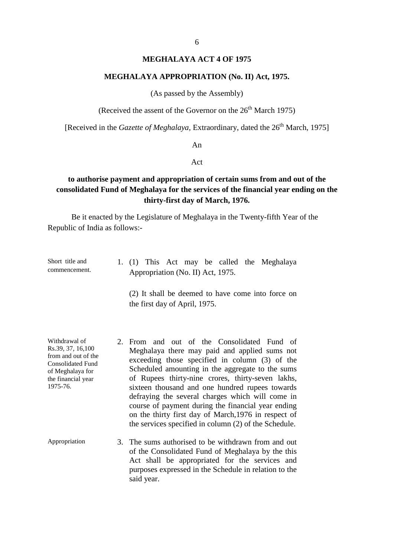#### **MEGHALAYA ACT 4 OF 1975**

#### **MEGHALAYA APPROPRIATION (No. II) Act, 1975.**

(As passed by the Assembly)

(Received the assent of the Governor on the  $26<sup>th</sup>$  March 1975)

[Received in the *Gazette of Meghalaya*, Extraordinary, dated the 26<sup>th</sup> March, 1975]

#### An

#### Act

# **to authorise payment and appropriation of certain sums from and out of the consolidated Fund of Meghalaya for the services of the financial year ending on the thirty-first day of March, 1976.**

Be it enacted by the Legislature of Meghalaya in the Twenty-fifth Year of the Republic of India as follows:-

Short title and commencement. 1. (1) This Act may be called the Meghalaya Appropriation (No. II) Act, 1975.

> (2) It shall be deemed to have come into force on the first day of April, 1975.

Withdrawal of Rs.39, 37, 16,100 from and out of the Consolidated Fund of Meghalaya for the financial year 1975-76.

- 2. From and out of the Consolidated Fund of Meghalaya there may paid and applied sums not exceeding those specified in column (3) of the Scheduled amounting in the aggregate to the sums of Rupees thirty-nine crores, thirty-seven lakhs, sixteen thousand and one hundred rupees towards defraying the several charges which will come in course of payment during the financial year ending on the thirty first day of March,1976 in respect of the services specified in column (2) of the Schedule.
- Appropriation 3. The sums authorised to be withdrawn from and out of the Consolidated Fund of Meghalaya by the this Act shall be appropriated for the services and purposes expressed in the Schedule in relation to the said year.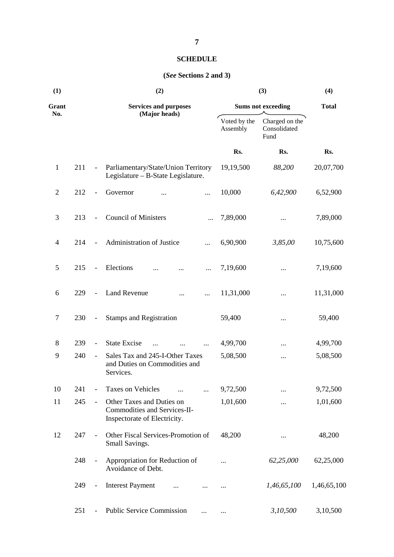# **SCHEDULE**

#### **(***See* **Sections 2 and 3)**

| (1)            |     | (2)                      |                                                                                           |                          | (3)                                    |             |  |
|----------------|-----|--------------------------|-------------------------------------------------------------------------------------------|--------------------------|----------------------------------------|-------------|--|
| Grant          |     |                          | <b>Services and purposes</b>                                                              |                          | <b>Sums not exceeding</b>              |             |  |
| No.            |     |                          | (Major heads)                                                                             | Voted by the<br>Assembly | Charged on the<br>Consolidated<br>Fund |             |  |
|                |     |                          |                                                                                           | Rs.                      | Rs.                                    | Rs.         |  |
| $\mathbf{1}$   | 211 | $\blacksquare$           | Parliamentary/State/Union Territory<br>Legislature - B-State Legislature.                 | 19,19,500                | 88,200                                 | 20,07,700   |  |
| $\overline{2}$ | 212 | $\blacksquare$           | Governor<br><br>                                                                          | 10,000                   | 6,42,900                               | 6,52,900    |  |
| 3              | 213 | $\overline{\phantom{a}}$ | <b>Council of Ministers</b>                                                               | 7,89,000                 |                                        | 7,89,000    |  |
| $\overline{4}$ | 214 |                          | Administration of Justice<br>                                                             | 6,90,900                 | 3,85,00                                | 10,75,600   |  |
| 5              | 215 | $\Box$                   | Elections<br>                                                                             | 7,19,600                 |                                        | 7,19,600    |  |
| 6              | 229 | $\frac{1}{2}$            | <b>Land Revenue</b><br>.                                                                  | 11,31,000                |                                        | 11,31,000   |  |
| 7              | 230 | $\overline{\phantom{0}}$ | <b>Stamps and Registration</b>                                                            | 59,400                   |                                        | 59,400      |  |
| 8              | 239 | $\overline{\phantom{a}}$ | <b>State Excise</b>                                                                       | 4,99,700                 |                                        | 4,99,700    |  |
| 9              | 240 | $\overline{\phantom{a}}$ | Sales Tax and 245-I-Other Taxes<br>and Duties on Commodities and<br>Services.             | 5,08,500                 |                                        | 5,08,500    |  |
| 10             | 241 | $\frac{1}{2}$            | Taxes on Vehicles                                                                         | 9,72,500                 |                                        | 9,72,500    |  |
| 11             | 245 | $\overline{\phantom{0}}$ | Other Taxes and Duties on<br>Commodities and Services-II-<br>Inspectorate of Electricity. | 1,01,600                 |                                        | 1,01,600    |  |
| 12             | 247 | $\overline{\phantom{a}}$ | Other Fiscal Services-Promotion of<br>Small Savings.                                      | 48,200                   |                                        | 48,200      |  |
|                | 248 | $\overline{\phantom{a}}$ | Appropriation for Reduction of<br>Avoidance of Debt.                                      |                          | 62,25,000                              | 62,25,000   |  |
|                | 249 | $\overline{\phantom{a}}$ | <b>Interest Payment</b>                                                                   |                          | 1,46,65,100                            | 1,46,65,100 |  |
|                | 251 | $\overline{\phantom{0}}$ | <b>Public Service Commission</b>                                                          |                          | 3,10,500                               | 3,10,500    |  |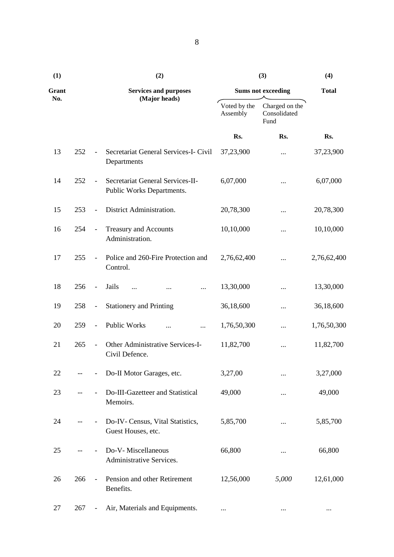| (1)   |     |                              | (2)                                                           | (3)                       | (4)                                    |             |
|-------|-----|------------------------------|---------------------------------------------------------------|---------------------------|----------------------------------------|-------------|
| Grant |     | <b>Services and purposes</b> |                                                               | <b>Sums not exceeding</b> | <b>Total</b>                           |             |
| No.   |     |                              | (Major heads)                                                 | Voted by the<br>Assembly  | Charged on the<br>Consolidated<br>Fund |             |
|       |     |                              |                                                               | Rs.                       | Rs.                                    | Rs.         |
| 13    | 252 |                              | Secretariat General Services-I- Civil<br>Departments          | 37,23,900                 |                                        | 37,23,900   |
| 14    | 252 | $\overline{\phantom{a}}$     | Secretariat General Services-II-<br>Public Works Departments. | 6,07,000                  |                                        | 6,07,000    |
| 15    | 253 | $\overline{\phantom{a}}$     | District Administration.                                      | 20,78,300                 |                                        | 20,78,300   |
| 16    | 254 | $\overline{\phantom{a}}$     | Treasury and Accounts<br>Administration.                      | 10,10,000                 |                                        | 10,10,000   |
| 17    | 255 | $\overline{\phantom{a}}$     | Police and 260-Fire Protection and<br>Control.                | 2,76,62,400               |                                        | 2,76,62,400 |
| 18    | 256 | $\overline{\phantom{a}}$     | Jails<br><br>                                                 | 13,30,000                 |                                        | 13,30,000   |
| 19    | 258 | $\overline{\phantom{a}}$     | <b>Stationery and Printing</b>                                | 36,18,600                 |                                        | 36,18,600   |
| 20    | 259 | $\overline{\phantom{a}}$     | Public Works<br><br>                                          | 1,76,50,300               |                                        | 1,76,50,300 |
| 21    | 265 | $\overline{\phantom{a}}$     | Other Administrative Services-I-<br>Civil Defence.            | 11,82,700                 |                                        | 11,82,700   |
| 22    |     |                              | Do-II Motor Garages, etc.                                     | 3,27,00                   |                                        | 3,27,000    |
| 23    |     |                              | Do-III-Gazetteer and Statistical<br>Memoirs.                  | 49,000                    |                                        | 49,000      |
| 24    |     |                              | Do-IV- Census, Vital Statistics,<br>Guest Houses, etc.        | 5,85,700                  |                                        | 5,85,700    |
| 25    |     |                              | Do-V-Miscellaneous<br>Administrative Services.                | 66,800                    |                                        | 66,800      |
| 26    | 266 | $\overline{\phantom{a}}$     | Pension and other Retirement<br>Benefits.                     | 12,56,000                 | 5,000                                  | 12,61,000   |
| 27    | 267 |                              | Air, Materials and Equipments.                                |                           | $\cdots$                               | $\cdots$    |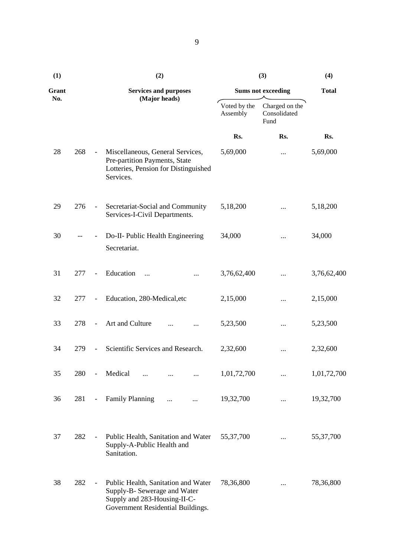| (1)          |     |                              | (2)                                                                                                                                      | (3)                      | (4)                                    |              |
|--------------|-----|------------------------------|------------------------------------------------------------------------------------------------------------------------------------------|--------------------------|----------------------------------------|--------------|
| Grant<br>No. |     |                              | <b>Services and purposes</b>                                                                                                             |                          | <b>Sums not exceeding</b>              | <b>Total</b> |
|              |     |                              | (Major heads)                                                                                                                            | Voted by the<br>Assembly | Charged on the<br>Consolidated<br>Fund |              |
|              |     |                              |                                                                                                                                          | Rs.                      | Rs.                                    | Rs.          |
| 28           | 268 | $\blacksquare$               | Miscellaneous, General Services,<br>Pre-partition Payments, State<br>Lotteries, Pension for Distinguished<br>Services.                   | 5,69,000                 |                                        | 5,69,000     |
| 29           | 276 | $\overline{\phantom{a}}$     | Secretariat-Social and Community<br>Services-I-Civil Departments.                                                                        | 5,18,200                 |                                        | 5,18,200     |
| 30           |     |                              | Do-II- Public Health Engineering<br>Secretariat.                                                                                         | 34,000                   |                                        | 34,000       |
| 31           | 277 | $\overline{\phantom{a}}$     | Education<br>$\ddotsc$                                                                                                                   | 3,76,62,400              |                                        | 3,76,62,400  |
| 32           | 277 | $\qquad \qquad \blacksquare$ | Education, 280-Medical, etc                                                                                                              | 2,15,000                 |                                        | 2,15,000     |
| 33           | 278 | $\frac{1}{2}$                | Art and Culture                                                                                                                          | 5,23,500                 |                                        | 5,23,500     |
| 34           | 279 |                              | Scientific Services and Research.                                                                                                        | 2,32,600                 |                                        | 2,32,600     |
| 35           | 280 |                              | Medical<br>$\cdots$                                                                                                                      | 1,01,72,700              |                                        | 1,01,72,700  |
| 36           | 281 | $\qquad \qquad -$            | <b>Family Planning</b>                                                                                                                   | 19,32,700                |                                        | 19,32,700    |
| 37           | 282 |                              | Public Health, Sanitation and Water<br>Supply-A-Public Health and<br>Sanitation.                                                         | 55, 37, 700              |                                        | 55, 37, 700  |
| 38           | 282 | $\qquad \qquad \blacksquare$ | Public Health, Sanitation and Water<br>Supply-B- Sewerage and Water<br>Supply and 283-Housing-II-C-<br>Government Residential Buildings. | 78,36,800                |                                        | 78,36,800    |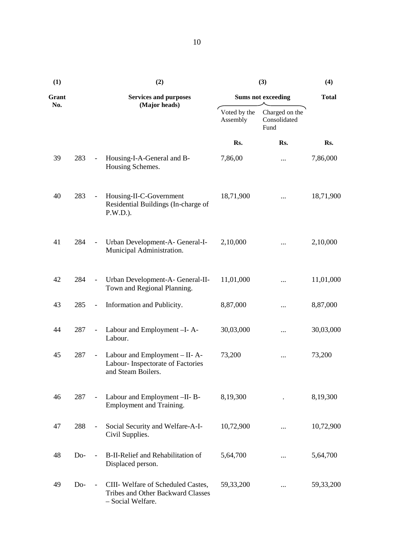| (1)   |       |                          | (2)                                                                                                | (3)                      | (4)                                    |              |
|-------|-------|--------------------------|----------------------------------------------------------------------------------------------------|--------------------------|----------------------------------------|--------------|
| Grant |       |                          | <b>Services and purposes</b>                                                                       |                          | <b>Sums not exceeding</b>              | <b>Total</b> |
| No.   |       |                          | (Major heads)                                                                                      | Voted by the<br>Assembly | Charged on the<br>Consolidated<br>Fund |              |
|       |       |                          |                                                                                                    | Rs.                      | Rs.                                    | Rs.          |
| 39    | 283   |                          | Housing-I-A-General and B-<br>Housing Schemes.                                                     | 7,86,00                  | $\cdots$                               | 7,86,000     |
| 40    | 283   | $\blacksquare$           | Housing-II-C-Government<br>Residential Buildings (In-charge of<br>$P.W.D.$ ).                      | 18,71,900                |                                        | 18,71,900    |
| 41    | 284   | $\overline{\phantom{a}}$ | Urban Development-A-General-I-<br>Municipal Administration.                                        | 2,10,000                 |                                        | 2,10,000     |
| 42    | 284   | $\overline{\phantom{a}}$ | Urban Development-A- General-II-<br>Town and Regional Planning.                                    | 11,01,000                |                                        | 11,01,000    |
| 43    | 285   | $\blacksquare$           | Information and Publicity.                                                                         | 8,87,000                 |                                        | 8,87,000     |
| 44    | 287   | $\overline{\phantom{a}}$ | Labour and Employment -I-A-<br>Labour.                                                             | 30,03,000                | $\cdots$                               | 30,03,000    |
| 45    | 287   | $\blacksquare$           | Labour and Employment - II-A-<br>Labour- Inspectorate of Factories<br>and Steam Boilers.           | 73,200                   |                                        | 73,200       |
| 46    | 287   |                          | Labour and Employment -II-B-<br>Employment and Training.                                           | 8,19,300                 |                                        | 8,19,300     |
| 47    | 288   |                          | Social Security and Welfare-A-I-<br>Civil Supplies.                                                | 10,72,900                | .                                      | 10,72,900    |
| 48    | $Do-$ |                          | B-II-Relief and Rehabilitation of<br>Displaced person.                                             | 5,64,700                 | $\cdots$                               | 5,64,700     |
| 49    | $Do-$ |                          | CIII-Welfare of Scheduled Castes,<br><b>Tribes and Other Backward Classes</b><br>- Social Welfare. | 59, 33, 200              |                                        | 59,33,200    |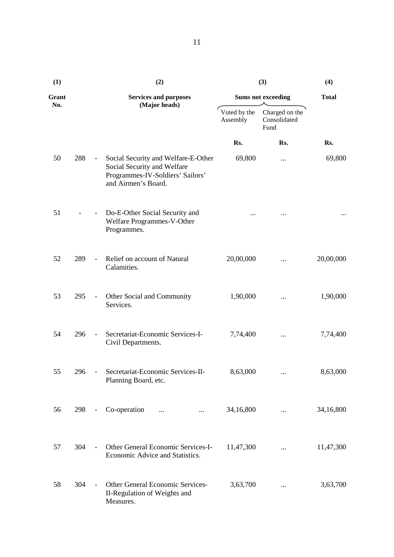| (1)   |     |                          | (2)                                                                                                                           | (3)                                                                | (4)                       |              |  |
|-------|-----|--------------------------|-------------------------------------------------------------------------------------------------------------------------------|--------------------------------------------------------------------|---------------------------|--------------|--|
| Grant |     |                          | <b>Services and purposes</b>                                                                                                  |                                                                    | <b>Sums not exceeding</b> | <b>Total</b> |  |
| No.   |     | (Major heads)            |                                                                                                                               | Voted by the<br>Charged on the<br>Assembly<br>Consolidated<br>Fund |                           |              |  |
|       |     |                          |                                                                                                                               | Rs.                                                                | Rs.                       | Rs.          |  |
| 50    | 288 | $\overline{\phantom{a}}$ | Social Security and Welfare-E-Other<br>Social Security and Welfare<br>Programmes-IV-Soldiers' Sailors'<br>and Airmen's Board. | 69,800                                                             |                           | 69,800       |  |
| 51    |     | $\overline{\phantom{a}}$ | Do-E-Other Social Security and<br>Welfare Programmes-V-Other<br>Programmes.                                                   |                                                                    |                           |              |  |
| 52    | 289 | $\overline{\phantom{a}}$ | Relief on account of Natural<br>Calamities.                                                                                   | 20,00,000                                                          |                           | 20,00,000    |  |
| 53    | 295 | $\overline{\phantom{a}}$ | Other Social and Community<br>Services.                                                                                       | 1,90,000                                                           |                           | 1,90,000     |  |
| 54    | 296 |                          | Secretariat-Economic Services-I-<br>Civil Departments.                                                                        | 7,74,400                                                           |                           | 7,74,400     |  |
| 55    |     |                          | 296 - Secretariat-Economic Services-II-<br>Planning Board, etc.                                                               | 8,63,000                                                           |                           | 8,63,000     |  |
| 56    | 298 | $\overline{\phantom{0}}$ | Co-operation<br>$\dddotsc$<br>$\cdots$                                                                                        | 34,16,800                                                          |                           | 34,16,800    |  |
| 57    | 304 | $\overline{\phantom{a}}$ | Other General Economic Services-I-<br>Economic Advice and Statistics.                                                         | 11,47,300                                                          | $\cdots$                  | 11,47,300    |  |
| 58    | 304 |                          | Other General Economic Services-<br>II-Regulation of Weights and<br>Measures.                                                 | 3,63,700                                                           |                           | 3,63,700     |  |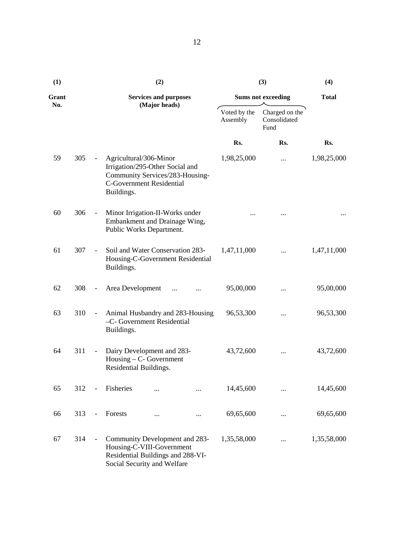| (1)   |     |                          | (2)                                                                                                                                           |                              |                                        | (3)         | (4)                       |             |  |
|-------|-----|--------------------------|-----------------------------------------------------------------------------------------------------------------------------------------------|------------------------------|----------------------------------------|-------------|---------------------------|-------------|--|
| Grant |     |                          |                                                                                                                                               | <b>Services and purposes</b> |                                        |             | <b>Sums not exceeding</b> |             |  |
| No.   |     | (Major heads)            |                                                                                                                                               | Voted by the<br>Assembly     | Charged on the<br>Consolidated<br>Fund |             |                           |             |  |
|       |     |                          |                                                                                                                                               |                              |                                        | Rs.         | Rs.                       | Rs.         |  |
| 59    | 305 | $\overline{\phantom{0}}$ | Agricultural/306-Minor<br>Irrigation/295-Other Social and<br>Community Services/283-Housing-<br><b>C-Government Residential</b><br>Buildings. |                              |                                        | 1,98,25,000 |                           | 1,98,25,000 |  |
| 60    | 306 | $\overline{\phantom{a}}$ | Minor Irrigation-II-Works under<br>Embankment and Drainage Wing,<br>Public Works Department.                                                  |                              |                                        |             |                           |             |  |
| 61    | 307 |                          | Soil and Water Conservation 283-<br>Housing-C-Government Residential<br>Buildings.                                                            |                              |                                        | 1,47,11,000 |                           | 1,47,11,000 |  |
| 62    | 308 | $\overline{\phantom{a}}$ | Area Development                                                                                                                              |                              |                                        | 95,00,000   |                           | 95,00,000   |  |
| 63    | 310 | $\overline{\phantom{0}}$ | -C- Government Residential<br>Buildings.                                                                                                      |                              | Animal Husbandry and 283-Housing       | 96,53,300   |                           | 96,53,300   |  |
| 64    | 311 | $\overline{\phantom{0}}$ | Dairy Development and 283-<br>$H \text{ousing} - C$ - Government<br>Residential Buildings.                                                    |                              |                                        | 43,72,600   |                           | 43,72,600   |  |
| 65    | 312 | $\overline{\phantom{a}}$ | Fisheries                                                                                                                                     |                              |                                        | 14,45,600   |                           | 14,45,600   |  |
| 66    | 313 | $\overline{\phantom{a}}$ | Forests                                                                                                                                       |                              |                                        | 69,65,600   |                           | 69,65,600   |  |
| 67    | 314 | $\qquad \qquad -$        | Community Development and 283-<br>Housing-C-VIII-Government<br>Residential Buildings and 288-VI-<br>Cocial Cognity and Walfare                |                              |                                        | 1,35,58,000 | $\cdots$                  | 1,35,58,000 |  |

Social Security and Welfare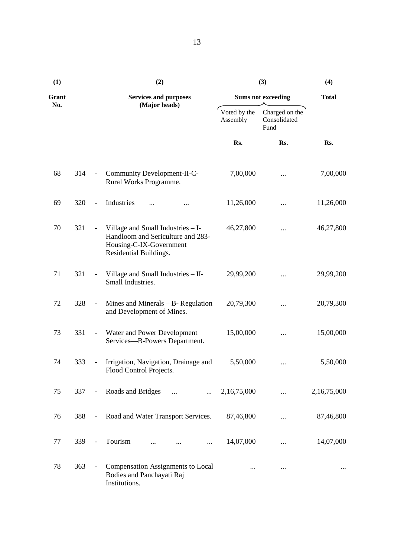| (1)   |     |                          | (2)                                                                                                                         | (3)                      | (4)                                    |              |
|-------|-----|--------------------------|-----------------------------------------------------------------------------------------------------------------------------|--------------------------|----------------------------------------|--------------|
| Grant |     |                          | <b>Services and purposes</b>                                                                                                |                          | <b>Sums not exceeding</b>              | <b>Total</b> |
| No.   |     |                          | (Major heads)                                                                                                               | Voted by the<br>Assembly | Charged on the<br>Consolidated<br>Fund |              |
|       |     |                          |                                                                                                                             | Rs.                      | Rs.                                    | Rs.          |
| 68    | 314 | $\overline{\phantom{a}}$ | Community Development-II-C-<br>Rural Works Programme.                                                                       | 7,00,000                 | $\cdots$                               | 7,00,000     |
| 69    | 320 | $\overline{\phantom{a}}$ | Industries                                                                                                                  | 11,26,000                |                                        | 11,26,000    |
| 70    | 321 |                          | Village and Small Industries - I-<br>Handloom and Sericulture and 283-<br>Housing-C-IX-Government<br>Residential Buildings. | 46,27,800                |                                        | 46,27,800    |
| 71    | 321 | $\overline{\phantom{a}}$ | Village and Small Industries - II-<br>Small Industries.                                                                     | 29,99,200                |                                        | 29,99,200    |
| 72    | 328 | $\blacksquare$           | Mines and Minerals $- B$ - Regulation<br>and Development of Mines.                                                          | 20,79,300                |                                        | 20,79,300    |
| 73    | 331 | $\overline{\phantom{a}}$ | Water and Power Development<br>Services-B-Powers Department.                                                                | 15,00,000                | $\cdots$                               | 15,00,000    |
| 74    | 333 | $\overline{\phantom{a}}$ | Irrigation, Navigation, Drainage and<br>Flood Control Projects.                                                             | 5,50,000                 |                                        | 5,50,000     |
| 75    | 337 | $\overline{\phantom{a}}$ | Roads and Bridges<br>$\cdots$<br>$\cdots$                                                                                   | 2,16,75,000              |                                        | 2,16,75,000  |
| 76    | 388 | $\blacksquare$           | Road and Water Transport Services.                                                                                          | 87,46,800                | $\cdots$                               | 87,46,800    |
| 77    | 339 | $\overline{\phantom{a}}$ | Tourism<br>$\cdots$                                                                                                         | 14,07,000                |                                        | 14,07,000    |
| 78    | 363 |                          | <b>Compensation Assignments to Local</b><br>Bodies and Panchayati Raj<br>Institutions.                                      |                          | $\cdots$                               |              |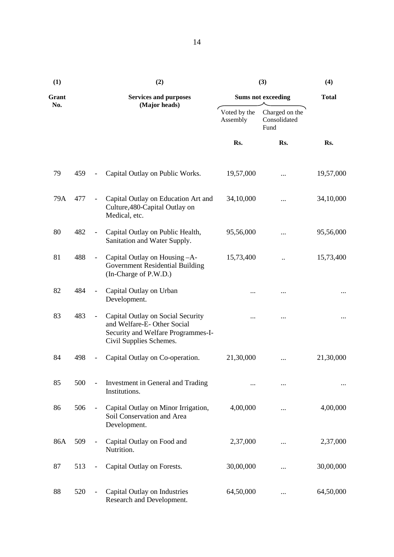| (1)   |     | (2)                                                                                                                              | (3)                       | (4)                                    |           |  |
|-------|-----|----------------------------------------------------------------------------------------------------------------------------------|---------------------------|----------------------------------------|-----------|--|
| Grant |     | <b>Services and purposes</b>                                                                                                     | <b>Sums not exceeding</b> | <b>Total</b>                           |           |  |
| No.   |     | (Major heads)                                                                                                                    | Voted by the<br>Assembly  | Charged on the<br>Consolidated<br>Fund |           |  |
|       |     |                                                                                                                                  | Rs.                       | Rs.                                    | Rs.       |  |
| 79    | 459 | Capital Outlay on Public Works.                                                                                                  | 19,57,000                 |                                        | 19,57,000 |  |
| 79A   | 477 | Capital Outlay on Education Art and<br>Culture, 480-Capital Outlay on<br>Medical, etc.                                           | 34,10,000                 |                                        | 34,10,000 |  |
| 80    | 482 | Capital Outlay on Public Health,<br>Sanitation and Water Supply.                                                                 | 95,56,000                 |                                        | 95,56,000 |  |
| 81    | 488 | Capital Outlay on Housing -A-<br>Government Residential Building<br>(In-Charge of P.W.D.)                                        | 15,73,400                 |                                        | 15,73,400 |  |
| 82    | 484 | Capital Outlay on Urban<br>Development.                                                                                          |                           |                                        |           |  |
| 83    | 483 | Capital Outlay on Social Security<br>and Welfare-E-Other Social<br>Security and Welfare Programmes-I-<br>Civil Supplies Schemes. |                           |                                        |           |  |
| 84    | 498 | Capital Outlay on Co-operation.                                                                                                  | 21,30,000                 |                                        | 21,30,000 |  |
| 85    | 500 | Investment in General and Trading<br>Institutions.                                                                               |                           |                                        |           |  |
| 86    | 506 | Capital Outlay on Minor Irrigation,<br>Soil Conservation and Area<br>Development.                                                | 4,00,000                  | $\cdots$                               | 4,00,000  |  |
| 86A   | 509 | Capital Outlay on Food and<br>Nutrition.                                                                                         | 2,37,000                  | $\cdots$                               | 2,37,000  |  |
| 87    | 513 | Capital Outlay on Forests.                                                                                                       | 30,00,000                 |                                        | 30,00,000 |  |
| 88    | 520 | Capital Outlay on Industries<br>Research and Development.                                                                        | 64,50,000                 |                                        | 64,50,000 |  |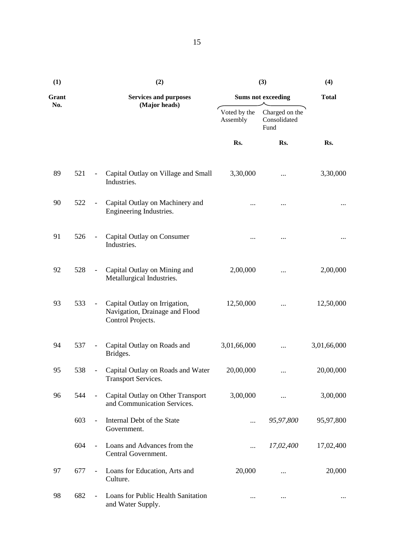| (1)          |     |                          | (2)                                                                                  | (3)                       | (4)                                    |             |
|--------------|-----|--------------------------|--------------------------------------------------------------------------------------|---------------------------|----------------------------------------|-------------|
| Grant<br>No. |     |                          | <b>Services and purposes</b>                                                         | <b>Sums not exceeding</b> | <b>Total</b>                           |             |
|              |     |                          | (Major heads)                                                                        | Voted by the<br>Assembly  | Charged on the<br>Consolidated<br>Fund |             |
|              |     |                          |                                                                                      | Rs.                       | Rs.                                    | Rs.         |
| 89           | 521 |                          | Capital Outlay on Village and Small<br>Industries.                                   | 3,30,000                  | $\cdots$                               | 3,30,000    |
| 90           | 522 |                          | Capital Outlay on Machinery and<br>Engineering Industries.                           |                           |                                        |             |
| 91           | 526 |                          | Capital Outlay on Consumer<br>Industries.                                            |                           |                                        |             |
| 92           | 528 | $\overline{\phantom{a}}$ | Capital Outlay on Mining and<br>Metallurgical Industries.                            | 2,00,000                  | $\cdots$                               | 2,00,000    |
| 93           | 533 |                          | Capital Outlay on Irrigation,<br>Navigation, Drainage and Flood<br>Control Projects. | 12,50,000                 |                                        | 12,50,000   |
| 94           | 537 |                          | Capital Outlay on Roads and<br>Bridges.                                              | 3,01,66,000               |                                        | 3,01,66,000 |
| 95           | 538 | $\overline{\phantom{0}}$ | Capital Outlay on Roads and Water<br><b>Transport Services.</b>                      | 20,00,000                 |                                        | 20,00,000   |
| 96           | 544 |                          | Capital Outlay on Other Transport<br>and Communication Services.                     | 3,00,000                  | $\cdots$                               | 3,00,000    |
|              | 603 | $\overline{\phantom{a}}$ | Internal Debt of the State<br>Government.                                            | $\cdots$                  | 95,97,800                              | 95,97,800   |
|              | 604 | $\equiv$                 | Loans and Advances from the<br>Central Government.                                   | $\cdots$                  | 17,02,400                              | 17,02,400   |
| 97           | 677 |                          | Loans for Education, Arts and<br>Culture.                                            | 20,000                    | $\cdots$                               | 20,000      |
| 98           | 682 | $\overline{\phantom{a}}$ | Loans for Public Health Sanitation<br>and Water Supply.                              |                           | $\cdots$                               |             |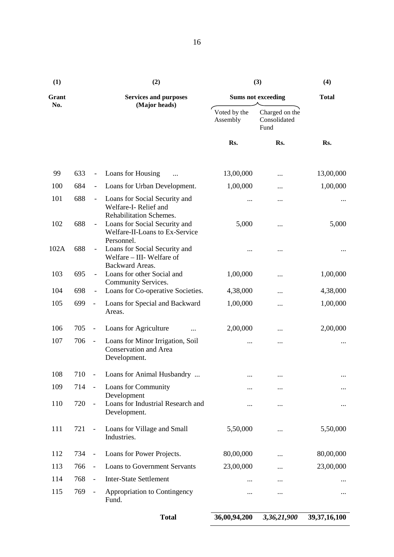| (1)   |     |                              | (2)                                                                                                      | (3)                       | (4)                                    |                 |
|-------|-----|------------------------------|----------------------------------------------------------------------------------------------------------|---------------------------|----------------------------------------|-----------------|
| Grant |     |                              | <b>Services and purposes</b>                                                                             | <b>Sums not exceeding</b> | <b>Total</b>                           |                 |
| No.   |     |                              | (Major heads)                                                                                            | Voted by the<br>Assembly  | Charged on the<br>Consolidated<br>Fund |                 |
|       |     |                              |                                                                                                          | Rs.                       | Rs.                                    | Rs.             |
| 99    | 633 | $\qquad \qquad -$            | Loans for Housing                                                                                        | 13,00,000                 |                                        | 13,00,000       |
| 100   | 684 | $\overline{\phantom{a}}$     | Loans for Urban Development.                                                                             | 1,00,000                  |                                        | 1,00,000        |
| 101   | 688 | $\overline{\phantom{a}}$     | Loans for Social Security and<br>Welfare-I-Relief and                                                    |                           |                                        |                 |
| 102   | 688 |                              | Rehabilitation Schemes.<br>Loans for Social Security and<br>Welfare-II-Loans to Ex-Service<br>Personnel. | 5,000                     |                                        | 5,000           |
| 102A  | 688 |                              | Loans for Social Security and<br>Welfare - III- Welfare of<br>Backward Areas.                            |                           |                                        |                 |
| 103   | 695 |                              | Loans for other Social and<br>Community Services.                                                        | 1,00,000                  |                                        | 1,00,000        |
| 104   | 698 | $\overline{\phantom{a}}$     | Loans for Co-operative Societies.                                                                        | 4,38,000                  |                                        | 4,38,000        |
| 105   | 699 | $\overline{\phantom{a}}$     | Loans for Special and Backward<br>Areas.                                                                 | 1,00,000                  |                                        | 1,00,000        |
| 106   | 705 | $\qquad \qquad \blacksquare$ | Loans for Agriculture                                                                                    | 2,00,000                  |                                        | 2,00,000        |
| 107   | 706 | $\overline{\phantom{a}}$     | Loans for Minor Irrigation, Soil<br><b>Conservation and Area</b><br>Development.                         |                           |                                        |                 |
| 108   | 710 |                              | Loans for Animal Husbandry                                                                               |                           | $\cdots$                               |                 |
| 109   | 714 | $\blacksquare$               | Loans for Community<br>Development                                                                       |                           |                                        |                 |
| 110   | 720 | $\blacksquare$               | Loans for Industrial Research and<br>Development.                                                        |                           |                                        |                 |
| 111   | 721 | $\overline{\phantom{a}}$     | Loans for Village and Small<br>Industries.                                                               | 5,50,000                  |                                        | 5,50,000        |
| 112   | 734 | $\overline{\phantom{a}}$     | Loans for Power Projects.                                                                                | 80,00,000                 |                                        | 80,00,000       |
| 113   | 766 | $\overline{\phantom{a}}$     | <b>Loans to Government Servants</b>                                                                      | 23,00,000                 |                                        | 23,00,000       |
| 114   | 768 | $\frac{1}{2}$                | <b>Inter-State Settlement</b>                                                                            |                           |                                        |                 |
| 115   | 769 | $\blacksquare$               | Appropriation to Contingency<br>Fund.                                                                    |                           |                                        |                 |
|       |     |                              | <b>Total</b>                                                                                             | 36,00,94,200              | 3,36,21,900                            | 39, 37, 16, 100 |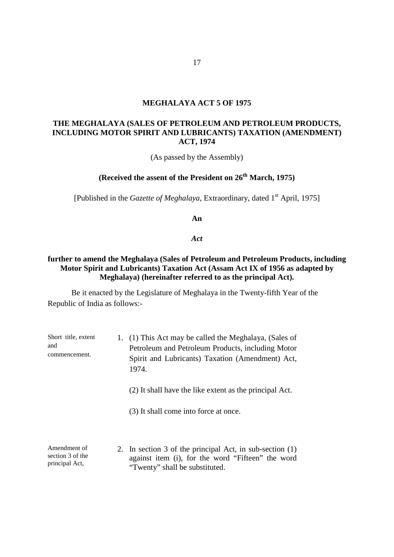#### **MEGHALAYA ACT 5 OF 1975**

#### **THE MEGHALAYA (SALES OF PETROLEUM AND PETROLEUM PRODUCTS, INCLUDING MOTOR SPIRIT AND LUBRICANTS) TAXATION (AMENDMENT) ACT, 1974**

(As passed by the Assembly)

# **(Received the assent of the President on 26th March, 1975)**

[Published in the *Gazette of Meghalaya*, Extraordinary, dated 1<sup>st</sup> April, 1975]

**An** 

*Act*

#### **further to amend the Meghalaya (Sales of Petroleum and Petroleum Products, including Motor Spirit and Lubricants) Taxation Act (Assam Act IX of 1956 as adapted by Meghalaya) (hereinafter referred to as the principal Act).**

| Short title, extent<br>and<br>commencement.        | 1. (1) This Act may be called the Meghalaya, (Sales of<br>Petroleum and Petroleum Products, including Motor<br>Spirit and Lubricants) Taxation (Amendment) Act,<br>1974. |  |  |
|----------------------------------------------------|--------------------------------------------------------------------------------------------------------------------------------------------------------------------------|--|--|
|                                                    | (2) It shall have the like extent as the principal Act.                                                                                                                  |  |  |
|                                                    | (3) It shall come into force at once.                                                                                                                                    |  |  |
| Amendment of<br>section 3 of the<br>principal Act, | 2. In section 3 of the principal Act, in sub-section (1)<br>against item (i), for the word "Fifteen" the word<br>"Twenty" shall be substituted.                          |  |  |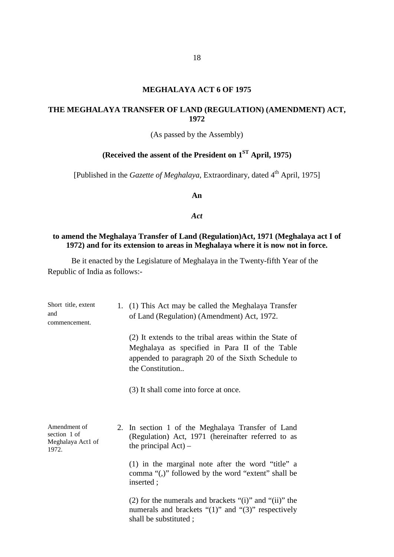#### **MEGHALAYA ACT 6 OF 1975**

# **THE MEGHALAYA TRANSFER OF LAND (REGULATION) (AMENDMENT) ACT, 1972**

(As passed by the Assembly)

# **(Received the assent of the President on 1ST April, 1975)**

[Published in the *Gazette of Meghalaya*, Extraordinary, dated 4<sup>th</sup> April, 1975]

**An** 

#### *Act*

#### **to amend the Meghalaya Transfer of Land (Regulation)Act, 1971 (Meghalaya act I of 1972) and for its extension to areas in Meghalaya where it is now not in force.**

| Short title, extent<br>and<br>commencement.                | 1. (1) This Act may be called the Meghalaya Transfer<br>of Land (Regulation) (Amendment) Act, 1972.                                                                               |  |  |
|------------------------------------------------------------|-----------------------------------------------------------------------------------------------------------------------------------------------------------------------------------|--|--|
|                                                            | (2) It extends to the tribal areas within the State of<br>Meghalaya as specified in Para II of the Table<br>appended to paragraph 20 of the Sixth Schedule to<br>the Constitution |  |  |
|                                                            | (3) It shall come into force at once.                                                                                                                                             |  |  |
| Amendment of<br>section 1 of<br>Meghalaya Act1 of<br>1972. | 2. In section 1 of the Meghalaya Transfer of Land<br>(Regulation) Act, 1971 (hereinafter referred to as<br>the principal $Act$ ) –                                                |  |  |
|                                                            | (1) in the marginal note after the word "title" a<br>comma "(,)" followed by the word "extent" shall be<br>inserted;                                                              |  |  |
|                                                            | (2) for the numerals and brackets "(i)" and "(ii)" the<br>numerals and brackets " $(1)$ " and " $(3)$ " respectively<br>shall be substituted;                                     |  |  |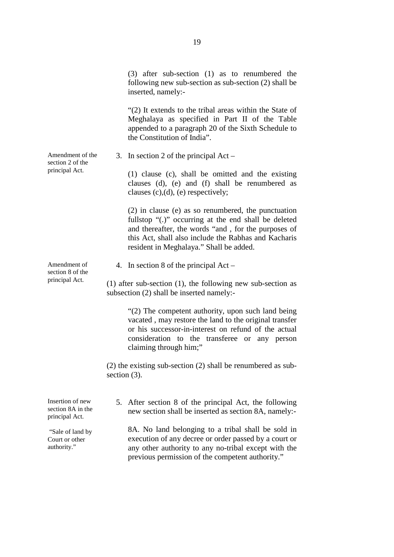(3) after sub-section (1) as to renumbered the following new sub-section as sub-section (2) shall be inserted, namely:-

"(2) It extends to the tribal areas within the State of Meghalaya as specified in Part II of the Table appended to a paragraph 20 of the Sixth Schedule to the Constitution of India".

3. In section 2 of the principal Act –

(1) clause (c), shall be omitted and the existing clauses (d), (e) and (f) shall be renumbered as clauses  $(c)$ , $(d)$ ,  $(e)$  respectively;

(2) in clause (e) as so renumbered, the punctuation fullstop "(.)" occurring at the end shall be deleted and thereafter, the words "and , for the purposes of this Act, shall also include the Rabhas and Kacharis resident in Meghalaya." Shall be added.

4. In section 8 of the principal Act –

(1) after sub-section (1), the following new sub-section as subsection (2) shall be inserted namely:-

> "(2) The competent authority, upon such land being vacated , may restore the land to the original transfer or his successor-in-interest on refund of the actual consideration to the transferee or any person claiming through him;"

(2) the existing sub-section (2) shall be renumbered as subsection  $(3)$ .

5. After section 8 of the principal Act, the following new section shall be inserted as section 8A, namely:-

8A. No land belonging to a tribal shall be sold in execution of any decree or order passed by a court or any other authority to any no-tribal except with the previous permission of the competent authority."

Amendment of the section 2 of the principal Act.

Amendment of section 8 of the principal Act.

Insertion of new section 8A in the principal Act.

"Sale of land by Court or other authority."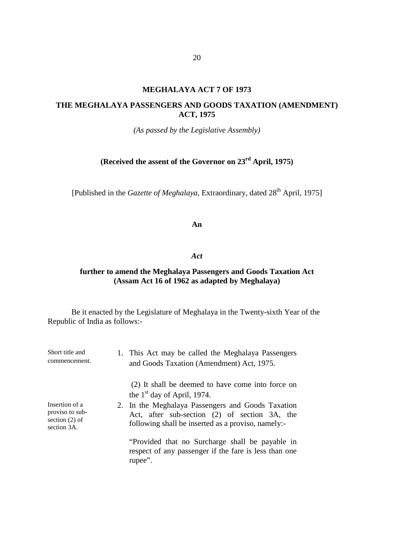#### **MEGHALAYA ACT 7 OF 1973**

#### **THE MEGHALAYA PASSENGERS AND GOODS TAXATION (AMENDMENT) ACT, 1975**

*(As passed by the Legislative Assembly)*

# **(Received the assent of the Governor on 23rd April, 1975)**

[Published in the *Gazette of Meghalaya*, Extraordinary, dated 28<sup>th</sup> April, 1975]

#### **An**

#### *Act*

#### **further to amend the Meghalaya Passengers and Goods Taxation Act (Assam Act 16 of 1962 as adapted by Meghalaya)**

| Short title and<br>commencement.                                     | 1. This Act may be called the Meghalaya Passengers<br>and Goods Taxation (Amendment) Act, 1975.                                                          |
|----------------------------------------------------------------------|----------------------------------------------------------------------------------------------------------------------------------------------------------|
|                                                                      | (2) It shall be deemed to have come into force on<br>the $1st$ day of April, 1974.                                                                       |
| Insertion of a<br>proviso to sub-<br>section $(2)$ of<br>section 3A. | 2. In the Meghalaya Passengers and Goods Taxation<br>Act, after sub-section (2) of section 3A, the<br>following shall be inserted as a proviso, namely:- |
|                                                                      | "Provided that no Surcharge shall be payable in<br>respect of any passenger if the fare is less than one<br>rupee".                                      |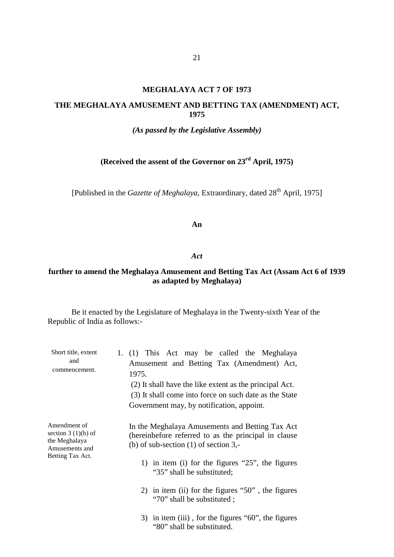#### **MEGHALAYA ACT 7 OF 1973**

#### **THE MEGHALAYA AMUSEMENT AND BETTING TAX (AMENDMENT) ACT, 1975**

#### *(As passed by the Legislative Assembly)*

# **(Received the assent of the Governor on 23rd April, 1975)**

[Published in the *Gazette of Meghalaya*, Extraordinary, dated 28<sup>th</sup> April, 1975]

#### **An**

#### *Act*

# **further to amend the Meghalaya Amusement and Betting Tax Act (Assam Act 6 of 1939 as adapted by Meghalaya)**

| Short title, extent<br>and<br>commencement.                             | 1. (1) This Act may be called the Meghalaya<br>Amusement and Betting Tax (Amendment) Act,<br>1975.<br>(2) It shall have the like extent as the principal Act.<br>(3) It shall come into force on such date as the State<br>Government may, by notification, appoint. |
|-------------------------------------------------------------------------|----------------------------------------------------------------------------------------------------------------------------------------------------------------------------------------------------------------------------------------------------------------------|
| Amendment of<br>section $3(1)(b)$ of<br>the Meghalaya<br>Amusements and | In the Meghalaya Amusements and Betting Tax Act<br>(hereinbefore referred to as the principal in clause)<br>(b) of sub-section $(1)$ of section 3,-                                                                                                                  |
| Betting Tax Act.                                                        | 1) in item (i) for the figures "25", the figures<br>"35" shall be substituted;                                                                                                                                                                                       |
|                                                                         | 2) in item (ii) for the figures " $50$ ", the figures<br>"70" shall be substituted;                                                                                                                                                                                  |
|                                                                         | 3) in item (iii), for the figures " $60$ ", the figures<br>"80" shall be substituted.                                                                                                                                                                                |